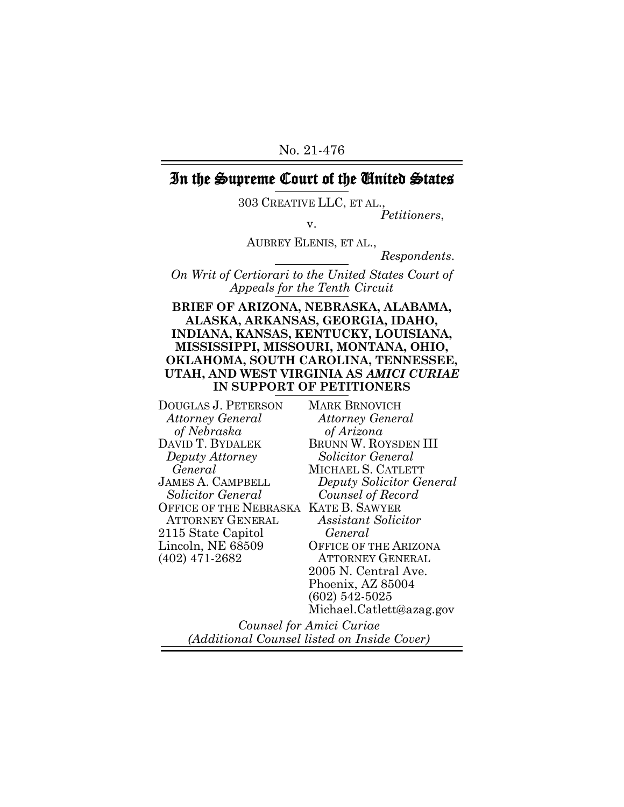## In the Supreme Court of the United States

303 CREATIVE LLC, ET AL.,

*Petitioners*, v.

AUBREY ELENIS, ET AL.,

*Respondents*.

*On Writ of Certiorari to the United States Court of Appeals for the Tenth Circuit*

#### **BRIEF OF ARIZONA, NEBRASKA, ALABAMA, ALASKA, ARKANSAS, GEORGIA, IDAHO, INDIANA, KANSAS, KENTUCKY, LOUISIANA, MISSISSIPPI, MISSOURI, MONTANA, OHIO, OKLAHOMA, SOUTH CAROLINA, TENNESSEE, UTAH, AND WEST VIRGINIA AS** *AMICI CURIAE* **IN SUPPORT OF PETITIONERS**

DOUGLAS J. PETERSON *Attorney General of Nebraska* DAVID T. BYDALEK *Deputy Attorney General* JAMES A. CAMPBELL *Solicitor General*  OFFICE OF THE NEBRASKA KATE B. SAWYER ATTORNEY GENERAL 2115 State Capitol Lincoln, NE 68509 (402) 471-2682

MARK BRNOVICH *Attorney General of Arizona* BRUNN W. ROYSDEN III *Solicitor General* MICHAEL S. CATLETT *Deputy Solicitor General Counsel of Record Assistant Solicitor General* OFFICE OF THE ARIZONA ATTORNEY GENERAL 2005 N. Central Ave. Phoenix, AZ 85004 (602) 542-5025

Michael.Catlett@azag.gov

*Counsel for Amici Curiae (Additional Counsel listed on Inside Cover)*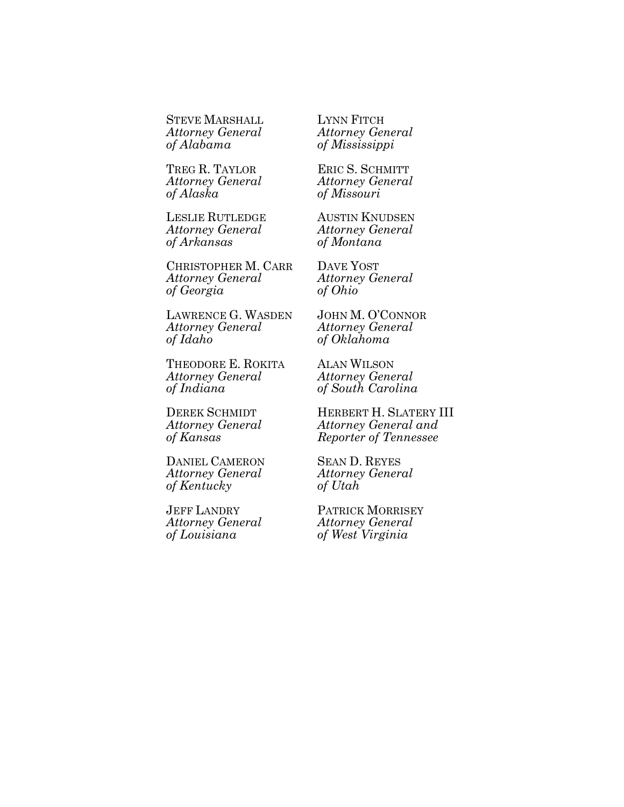STEVE MARSHALL *Attorney General of Alabama*

TREG R. TAYLOR *Attorney General of Alaska*

LESLIE RUTLEDGE *Attorney General of Arkansas*

CHRISTOPHER M. CARR *Attorney General of Georgia*

LAWRENCE G. WASDEN *Attorney General of Idaho*

THEODORE E. ROKITA *Attorney General of Indiana*

DEREK SCHMIDT *Attorney General of Kansas*

DANIEL CAMERON *Attorney General of Kentucky*

JEFF LANDRY *Attorney General of Louisiana*

LYNN FITCH *Attorney General of Mississippi*

ERIC S. SCHMITT *Attorney General of Missouri*

AUSTIN KNUDSEN *Attorney General of Montana*

DAVE YOST *Attorney General of Ohio*

JOHN M. O'CONNOR *Attorney General of Oklahoma*

ALAN WILSON *Attorney General of South Carolina*

HERBERT H. SLATERY III *Attorney General and Reporter of Tennessee*

SEAN D. REYES *Attorney General of Utah*

PATRICK MORRISEY *Attorney General of West Virginia*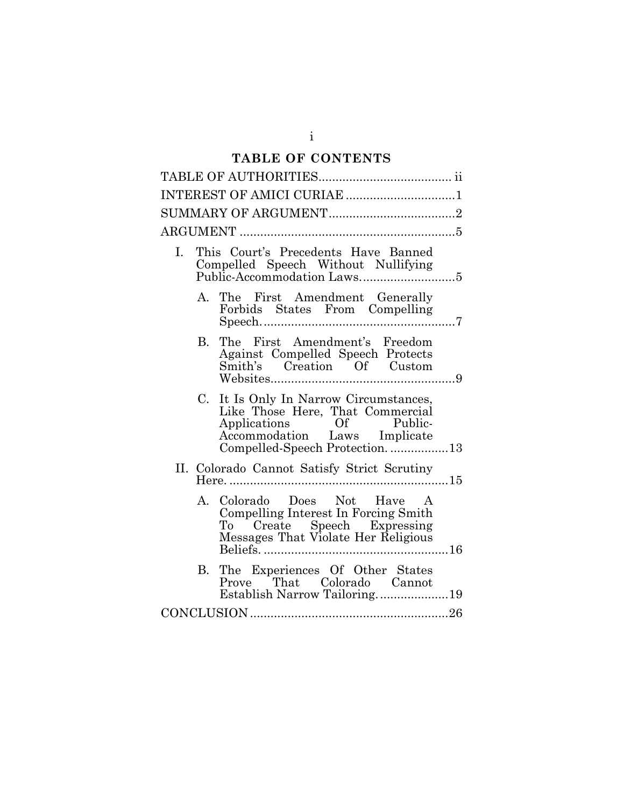# **TABLE OF CONTENTS**

| INTEREST OF AMICI CURIAE 1                                                                                                                                                |  |
|---------------------------------------------------------------------------------------------------------------------------------------------------------------------------|--|
|                                                                                                                                                                           |  |
|                                                                                                                                                                           |  |
| This Court's Precedents Have Banned<br>L.                                                                                                                                 |  |
| The First Amendment Generally<br>$A_{-}$<br>Forbids States From Compelling                                                                                                |  |
| The First Amendment's Freedom<br>B.<br>Against Compelled Speech Protects<br>Smith's Creation Of Custom                                                                    |  |
| It Is Only In Narrow Circumstances,<br>C.<br>Like Those Here, That Commercial<br>Applications Of Public-<br>Accommodation Laws Implicate<br>Compelled-Speech Protection13 |  |
| II. Colorado Cannot Satisfy Strict Scrutiny                                                                                                                               |  |
| Colorado Does Not Have A<br>A.<br>Compelling Interest In Forcing Smith<br>To Create Speech Expressing<br>Messages That Violate Her Religious                              |  |
| The Experiences Of Other States<br>В.<br>Prove That Colorado Cannot<br>Establish Narrow Tailoring19                                                                       |  |
|                                                                                                                                                                           |  |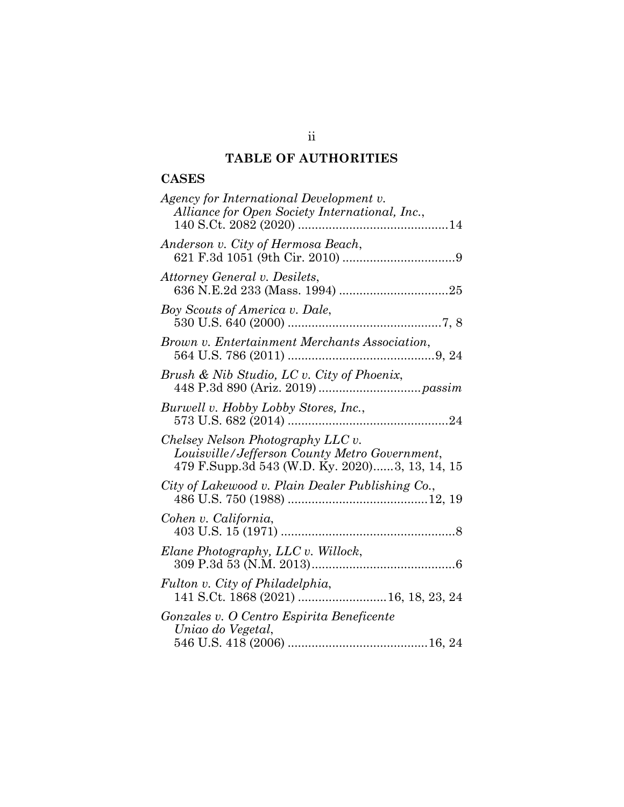## **TABLE OF AUTHORITIES**

## **CASES**

| Agency for International Development v.<br>Alliance for Open Society International, Inc.,                                            |
|--------------------------------------------------------------------------------------------------------------------------------------|
| Anderson v. City of Hermosa Beach,                                                                                                   |
| Attorney General v. Desilets,                                                                                                        |
| Boy Scouts of America v. Dale,                                                                                                       |
| Brown v. Entertainment Merchants Association,                                                                                        |
| Brush & Nib Studio, LC v. City of Phoenix,                                                                                           |
| Burwell v. Hobby Lobby Stores, Inc.,                                                                                                 |
| Chelsey Nelson Photography LLC v.<br>Louisville/Jefferson County Metro Government,<br>479 F.Supp.3d 543 (W.D. Ky. 2020)3, 13, 14, 15 |
| City of Lakewood v. Plain Dealer Publishing Co.,                                                                                     |
| Cohen v. California,                                                                                                                 |
| Elane Photography, LLC v. Willock,                                                                                                   |
| Fulton v. City of Philadelphia,                                                                                                      |
| Gonzales v. O Centro Espirita Beneficente<br>Uniao do Vegetal,                                                                       |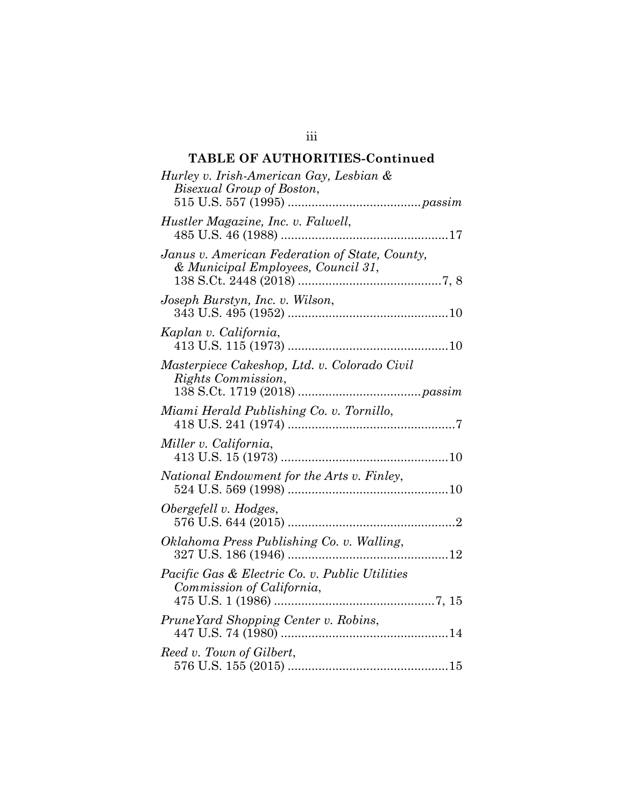## **TABLE OF AUTHORITIES-Continued**

| Hurley v. Irish-American Gay, Lesbian &<br>Bisexual Group of Boston,                 |
|--------------------------------------------------------------------------------------|
| Hustler Magazine, Inc. v. Falwell,                                                   |
| Janus v. American Federation of State, County,<br>& Municipal Employees, Council 31, |
| Joseph Burstyn, Inc. v. Wilson,                                                      |
| Kaplan v. California,                                                                |
| Masterpiece Cakeshop, Ltd. v. Colorado Civil<br>Rights Commission,                   |
| Miami Herald Publishing Co. v. Tornillo,                                             |
| Miller v. California,                                                                |
| National Endowment for the Arts v. Finley,                                           |
| Obergefell v. Hodges,                                                                |
| Oklahoma Press Publishing Co. v. Walling,                                            |
| Pacific Gas & Electric Co. v. Public Utilities<br>Commission of California,          |
| PruneYard Shopping Center v. Robins,                                                 |
| Reed v. Town of Gilbert,                                                             |

iii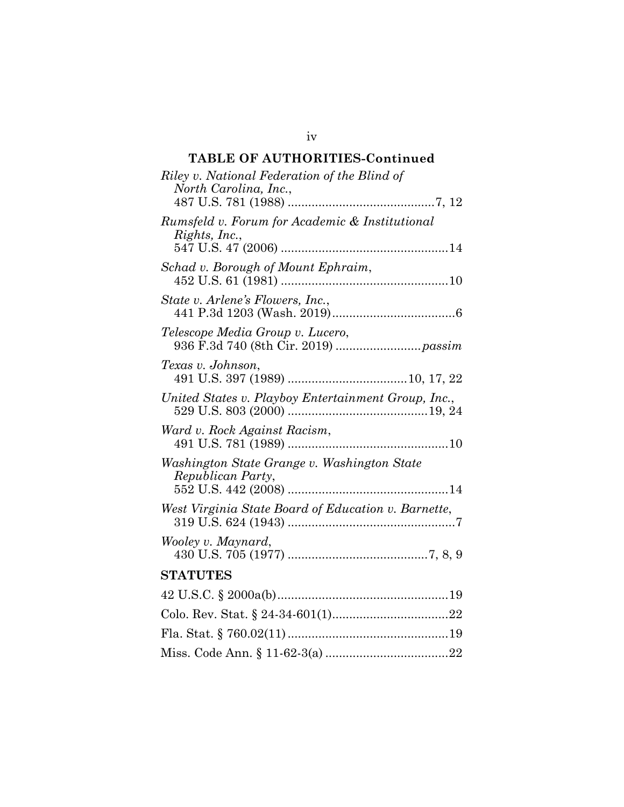## **TABLE OF AUTHORITIES-Continued**

| Riley v. National Federation of the Blind of<br>North Carolina, Inc., |
|-----------------------------------------------------------------------|
| Rumsfeld v. Forum for Academic & Institutional<br>Rights, Inc.,       |
| Schad v. Borough of Mount Ephraim,                                    |
| State v. Arlene's Flowers, Inc.,                                      |
| Telescope Media Group v. Lucero,                                      |
| Texas v. Johnson,                                                     |
| United States v. Playboy Entertainment Group, Inc.,                   |
| Ward v. Rock Against Racism,                                          |
| Washington State Grange v. Washington State<br>Republican Party,      |
| West Virginia State Board of Education v. Barnette,                   |
| Wooley v. Maynard,                                                    |
| <b>STATUTES</b>                                                       |
|                                                                       |
|                                                                       |
|                                                                       |
|                                                                       |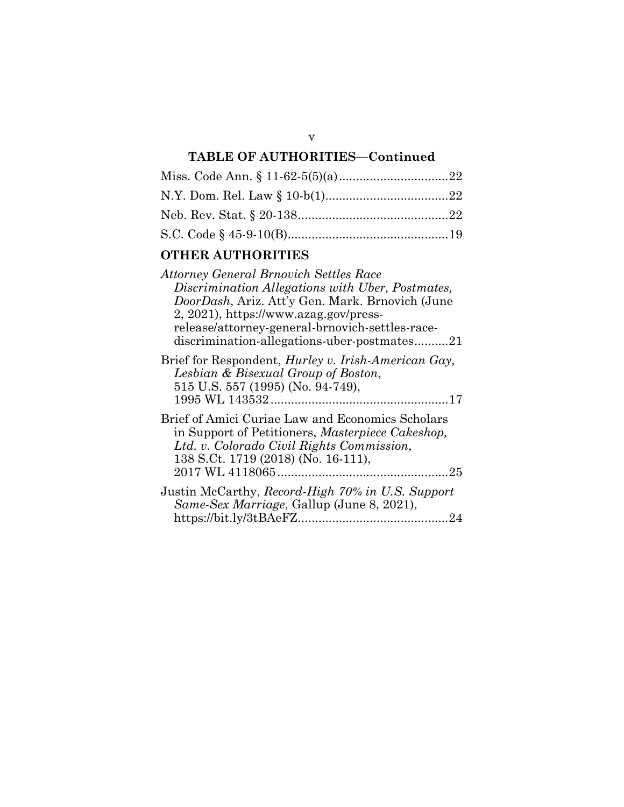## **TABLE OF AUTHORITIES—Continued**

### **OTHER AUTHORITIES**

| <b>Attorney General Brnovich Settles Race</b>               |
|-------------------------------------------------------------|
| Discrimination Allegations with Uber, Postmates,            |
| DoorDash, Ariz. Att'y Gen. Mark. Brnovich (June             |
| 2, 2021), https://www.azag.gov/press-                       |
| release/attorney-general-brnovich-settles-race-             |
| discrimination-allegations-uber-postmates21                 |
| Brief for Respondent, <i>Hurley v. Irish-American Gay</i> , |
| Lesbian & Bisexual Group of Boston,                         |
| 515 U.S. 557 (1995) (No. 94-749),                           |
|                                                             |
| Brief of Amici Curiae Law and Economics Scholars            |

in Support of Petitioners, *Masterpiece Cakeshop, Ltd. v. Colorado Civil Rights Commission*, 138 S.Ct. 1719 (2018) (No. 16-111), 2017 WL 4118065..................................................25

| Justin McCarthy, Record-High 70% in U.S. Support |  |
|--------------------------------------------------|--|
| Same-Sex Marriage, Gallup (June 8, 2021),        |  |
|                                                  |  |

v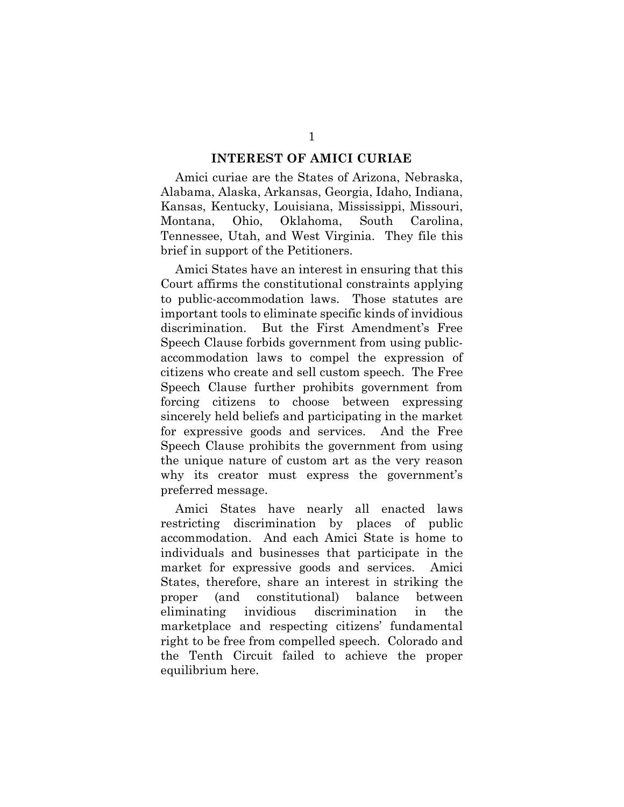#### **INTEREST OF AMICI CURIAE**

Amici curiae are the States of Arizona, Nebraska, Alabama, Alaska, Arkansas, Georgia, Idaho, Indiana, Kansas, Kentucky, Louisiana, Mississippi, Missouri, Montana, Ohio, Oklahoma, South Carolina, Tennessee, Utah, and West Virginia. They file this brief in support of the Petitioners.

Amici States have an interest in ensuring that this Court affirms the constitutional constraints applying to public-accommodation laws. Those statutes are important tools to eliminate specific kinds of invidious discrimination. But the First Amendment's Free Speech Clause forbids government from using publicaccommodation laws to compel the expression of citizens who create and sell custom speech. The Free Speech Clause further prohibits government from forcing citizens to choose between expressing sincerely held beliefs and participating in the market for expressive goods and services. And the Free Speech Clause prohibits the government from using the unique nature of custom art as the very reason why its creator must express the government's preferred message.

Amici States have nearly all enacted laws restricting discrimination by places of public accommodation. And each Amici State is home to individuals and businesses that participate in the market for expressive goods and services. Amici States, therefore, share an interest in striking the proper (and constitutional) balance between eliminating invidious discrimination in the marketplace and respecting citizens' fundamental right to be free from compelled speech. Colorado and the Tenth Circuit failed to achieve the proper equilibrium here.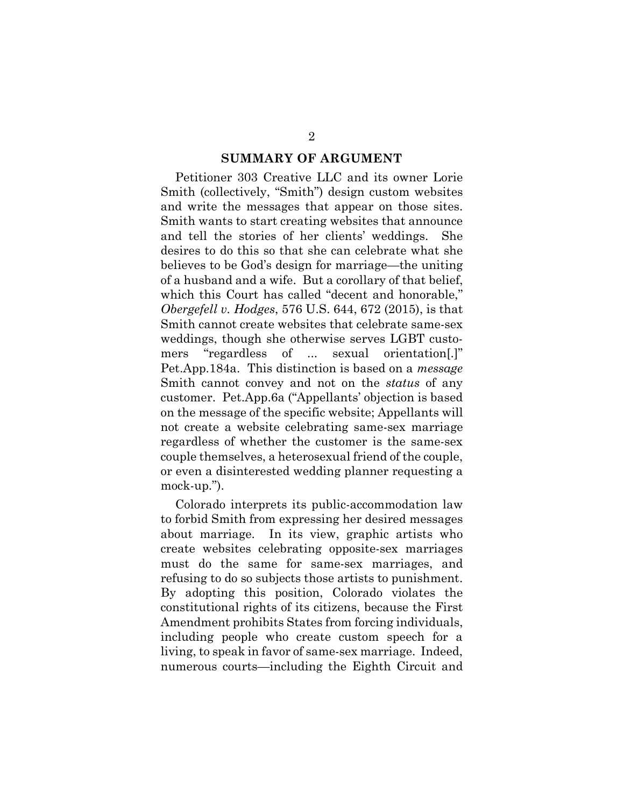#### **SUMMARY OF ARGUMENT**

Petitioner 303 Creative LLC and its owner Lorie Smith (collectively, "Smith") design custom websites and write the messages that appear on those sites. Smith wants to start creating websites that announce and tell the stories of her clients' weddings. She desires to do this so that she can celebrate what she believes to be God's design for marriage—the uniting of a husband and a wife. But a corollary of that belief, which this Court has called "decent and honorable," *Obergefell v. Hodges*, 576 U.S. 644, 672 (2015), is that Smith cannot create websites that celebrate same-sex weddings, though she otherwise serves LGBT customers "regardless of ... sexual orientation[.]" Pet.App.184a. This distinction is based on a *message* Smith cannot convey and not on the *status* of any customer. Pet.App.6a ("Appellants' objection is based on the message of the specific website; Appellants will not create a website celebrating same-sex marriage regardless of whether the customer is the same-sex couple themselves, a heterosexual friend of the couple, or even a disinterested wedding planner requesting a mock-up.").

Colorado interprets its public-accommodation law to forbid Smith from expressing her desired messages about marriage. In its view, graphic artists who create websites celebrating opposite-sex marriages must do the same for same-sex marriages, and refusing to do so subjects those artists to punishment. By adopting this position, Colorado violates the constitutional rights of its citizens, because the First Amendment prohibits States from forcing individuals, including people who create custom speech for a living, to speak in favor of same-sex marriage. Indeed, numerous courts—including the Eighth Circuit and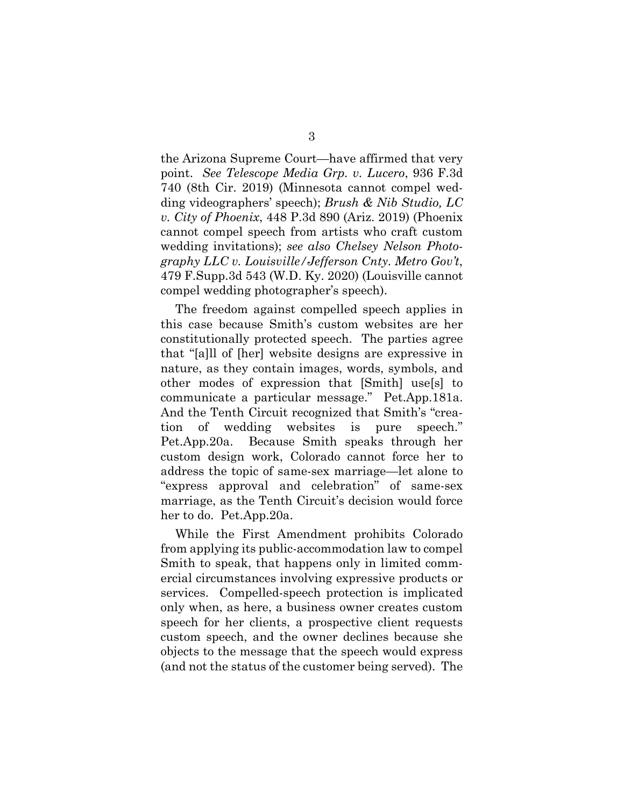the Arizona Supreme Court—have affirmed that very point. *See Telescope Media Grp. v. Lucero*, 936 F.3d 740 (8th Cir. 2019) (Minnesota cannot compel wedding videographers' speech); *Brush & Nib Studio, LC v. City of Phoenix*, 448 P.3d 890 (Ariz. 2019) (Phoenix cannot compel speech from artists who craft custom wedding invitations); *see also Chelsey Nelson Photography LLC v. Louisville/Jefferson Cnty. Metro Gov't*, 479 F.Supp.3d 543 (W.D. Ky. 2020) (Louisville cannot compel wedding photographer's speech).

The freedom against compelled speech applies in this case because Smith's custom websites are her constitutionally protected speech. The parties agree that "[a]ll of [her] website designs are expressive in nature, as they contain images, words, symbols, and other modes of expression that [Smith] use[s] to communicate a particular message." Pet.App.181a. And the Tenth Circuit recognized that Smith's "creation of wedding websites is pure speech." Pet.App.20a. Because Smith speaks through her custom design work, Colorado cannot force her to address the topic of same-sex marriage—let alone to "express approval and celebration" of same-sex marriage, as the Tenth Circuit's decision would force her to do. Pet.App.20a.

While the First Amendment prohibits Colorado from applying its public-accommodation law to compel Smith to speak, that happens only in limited commercial circumstances involving expressive products or services. Compelled-speech protection is implicated only when, as here, a business owner creates custom speech for her clients, a prospective client requests custom speech, and the owner declines because she objects to the message that the speech would express (and not the status of the customer being served). The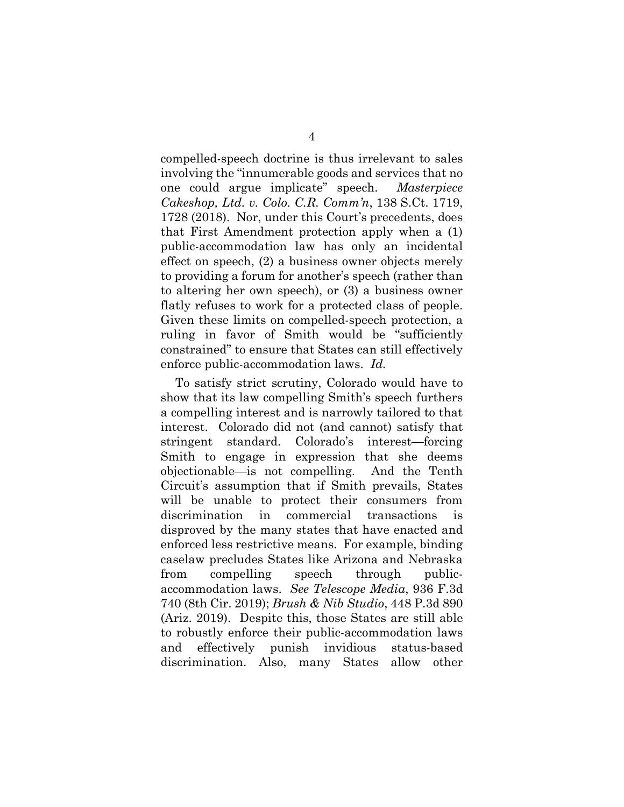compelled-speech doctrine is thus irrelevant to sales involving the "innumerable goods and services that no one could argue implicate" speech. *Masterpiece Cakeshop, Ltd. v. Colo. C.R. Comm'n*, 138 S.Ct. 1719, 1728 (2018). Nor, under this Court's precedents, does that First Amendment protection apply when a (1) public-accommodation law has only an incidental effect on speech, (2) a business owner objects merely to providing a forum for another's speech (rather than to altering her own speech), or (3) a business owner flatly refuses to work for a protected class of people. Given these limits on compelled-speech protection, a ruling in favor of Smith would be "sufficiently constrained" to ensure that States can still effectively enforce public-accommodation laws. *Id.*

To satisfy strict scrutiny, Colorado would have to show that its law compelling Smith's speech furthers a compelling interest and is narrowly tailored to that interest. Colorado did not (and cannot) satisfy that stringent standard. Colorado's interest—forcing Smith to engage in expression that she deems objectionable—is not compelling. And the Tenth Circuit's assumption that if Smith prevails, States will be unable to protect their consumers from discrimination in commercial transactions is disproved by the many states that have enacted and enforced less restrictive means. For example, binding caselaw precludes States like Arizona and Nebraska from compelling speech through publicaccommodation laws. *See Telescope Media*, 936 F.3d 740 (8th Cir. 2019); *Brush & Nib Studio*, 448 P.3d 890 (Ariz. 2019). Despite this, those States are still able to robustly enforce their public-accommodation laws and effectively punish invidious status-based discrimination. Also, many States allow other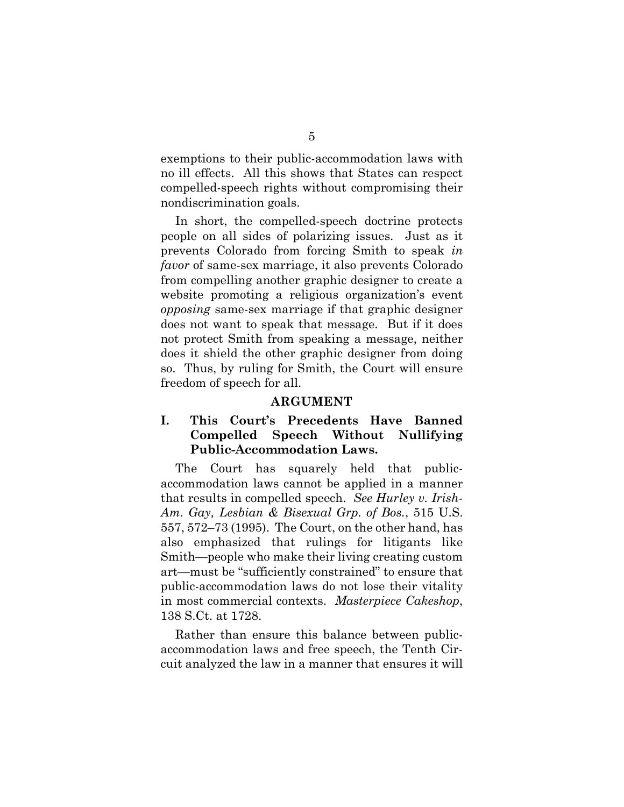exemptions to their public-accommodation laws with no ill effects. All this shows that States can respect compelled-speech rights without compromising their nondiscrimination goals.

In short, the compelled-speech doctrine protects people on all sides of polarizing issues. Just as it prevents Colorado from forcing Smith to speak *in favor* of same-sex marriage, it also prevents Colorado from compelling another graphic designer to create a website promoting a religious organization's event *opposing* same-sex marriage if that graphic designer does not want to speak that message. But if it does not protect Smith from speaking a message, neither does it shield the other graphic designer from doing so. Thus, by ruling for Smith, the Court will ensure freedom of speech for all.

#### **ARGUMENT**

### **I. This Court's Precedents Have Banned Compelled Speech Without Nullifying Public-Accommodation Laws.**

The Court has squarely held that publicaccommodation laws cannot be applied in a manner that results in compelled speech. *See Hurley v. Irish-Am. Gay, Lesbian & Bisexual Grp. of Bos.*, 515 U.S. 557, 572–73 (1995). The Court, on the other hand, has also emphasized that rulings for litigants like Smith—people who make their living creating custom art—must be "sufficiently constrained" to ensure that public-accommodation laws do not lose their vitality in most commercial contexts. *Masterpiece Cakeshop*, 138 S.Ct. at 1728.

Rather than ensure this balance between publicaccommodation laws and free speech, the Tenth Circuit analyzed the law in a manner that ensures it will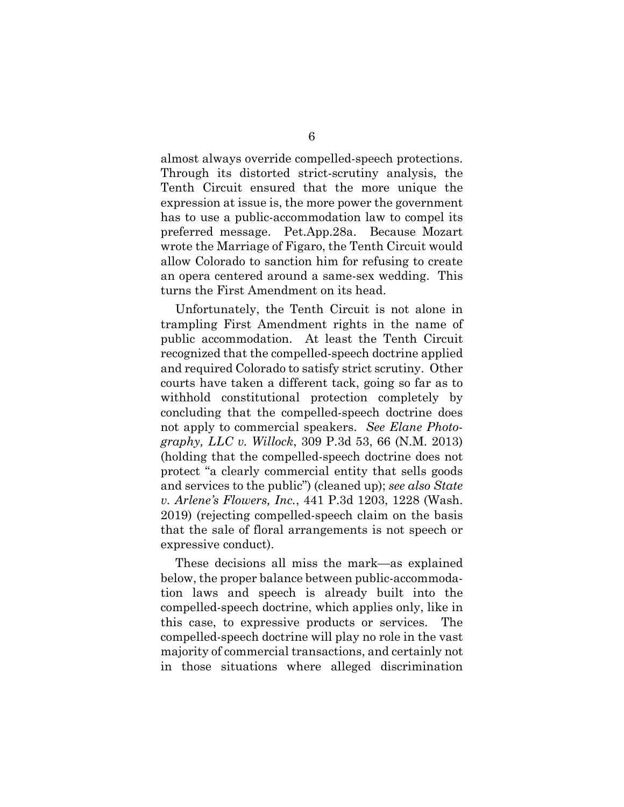almost always override compelled-speech protections. Through its distorted strict-scrutiny analysis, the Tenth Circuit ensured that the more unique the expression at issue is, the more power the government has to use a public-accommodation law to compel its preferred message. Pet.App.28a. Because Mozart wrote the Marriage of Figaro, the Tenth Circuit would allow Colorado to sanction him for refusing to create an opera centered around a same-sex wedding. This turns the First Amendment on its head.

Unfortunately, the Tenth Circuit is not alone in trampling First Amendment rights in the name of public accommodation. At least the Tenth Circuit recognized that the compelled-speech doctrine applied and required Colorado to satisfy strict scrutiny. Other courts have taken a different tack, going so far as to withhold constitutional protection completely by concluding that the compelled-speech doctrine does not apply to commercial speakers. *See Elane Photography, LLC v. Willock*, 309 P.3d 53, 66 (N.M. 2013) (holding that the compelled-speech doctrine does not protect "a clearly commercial entity that sells goods and services to the public") (cleaned up); *see also State v. Arlene's Flowers, Inc.*, 441 P.3d 1203, 1228 (Wash. 2019) (rejecting compelled-speech claim on the basis that the sale of floral arrangements is not speech or expressive conduct).

These decisions all miss the mark—as explained below, the proper balance between public-accommodation laws and speech is already built into the compelled-speech doctrine, which applies only, like in this case, to expressive products or services. The compelled-speech doctrine will play no role in the vast majority of commercial transactions, and certainly not in those situations where alleged discrimination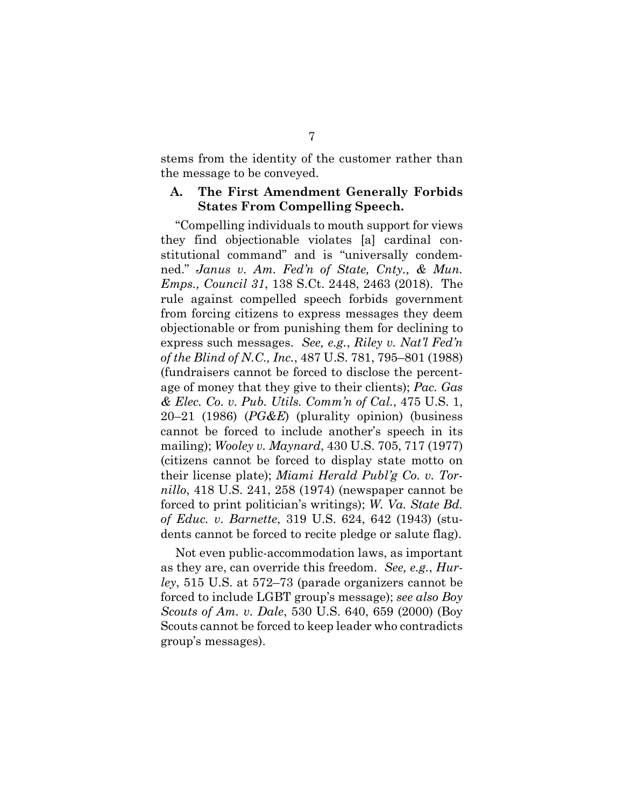stems from the identity of the customer rather than the message to be conveyed.

### **A. The First Amendment Generally Forbids States From Compelling Speech.**

"Compelling individuals to mouth support for views they find objectionable violates [a] cardinal constitutional command" and is "universally condemned." *Janus v. Am. Fed'n of State, Cnty., & Mun. Emps., Council 31*, 138 S.Ct. 2448, 2463 (2018). The rule against compelled speech forbids government from forcing citizens to express messages they deem objectionable or from punishing them for declining to express such messages. *See, e.g.*, *Riley v. Nat'l Fed'n of the Blind of N.C., Inc.*, 487 U.S. 781, 795–801 (1988) (fundraisers cannot be forced to disclose the percentage of money that they give to their clients); *Pac. Gas & Elec. Co. v. Pub. Utils. Comm'n of Cal.*, 475 U.S. 1, 20–21 (1986) (*PG&E*) (plurality opinion) (business cannot be forced to include another's speech in its mailing); *Wooley v. Maynard*, 430 U.S. 705, 717 (1977) (citizens cannot be forced to display state motto on their license plate); *Miami Herald Publ'g Co. v. Tornillo*, 418 U.S. 241, 258 (1974) (newspaper cannot be forced to print politician's writings); *W. Va. State Bd. of Educ. v. Barnette*, 319 U.S. 624, 642 (1943) (students cannot be forced to recite pledge or salute flag).

Not even public-accommodation laws, as important as they are, can override this freedom. *See, e.g.*, *Hurley*, 515 U.S. at 572–73 (parade organizers cannot be forced to include LGBT group's message); *see also Boy Scouts of Am. v. Dale*, 530 U.S. 640, 659 (2000) (Boy Scouts cannot be forced to keep leader who contradicts group's messages).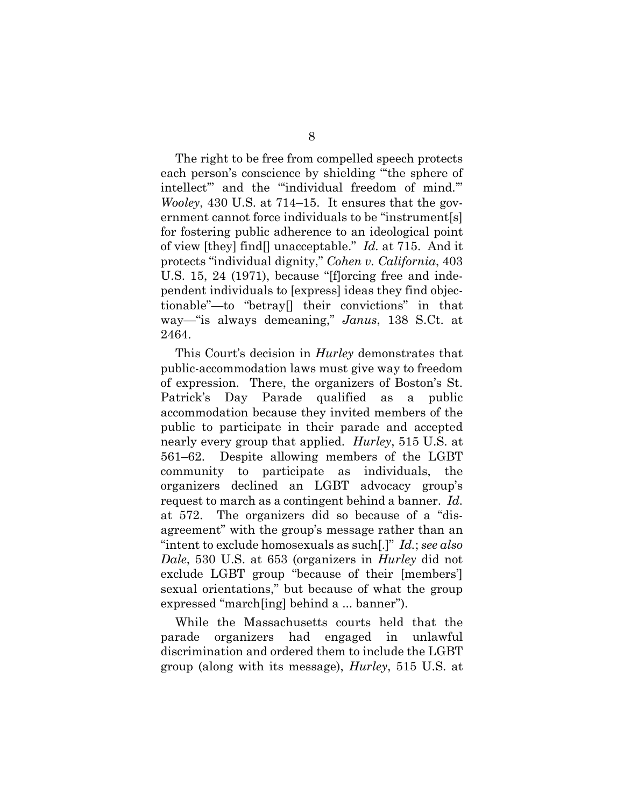The right to be free from compelled speech protects each person's conscience by shielding "'the sphere of intellect'" and the "'individual freedom of mind.'" *Wooley*, 430 U.S. at 714–15. It ensures that the government cannot force individuals to be "instrument[s] for fostering public adherence to an ideological point of view [they] find[] unacceptable." *Id.* at 715. And it protects "individual dignity," *Cohen v. California*, 403 U.S. 15, 24 (1971), because "[f]orcing free and independent individuals to [express] ideas they find objectionable"—to "betray[] their convictions" in that way—"is always demeaning," *Janus*, 138 S.Ct. at 2464.

This Court's decision in *Hurley* demonstrates that public-accommodation laws must give way to freedom of expression. There, the organizers of Boston's St. Patrick's Day Parade qualified as a public accommodation because they invited members of the public to participate in their parade and accepted nearly every group that applied. *Hurley*, 515 U.S. at 561–62. Despite allowing members of the LGBT community to participate as individuals, the organizers declined an LGBT advocacy group's request to march as a contingent behind a banner. *Id.* at 572. The organizers did so because of a "disagreement" with the group's message rather than an "intent to exclude homosexuals as such[.]" *Id.*; *see also Dale*, 530 U.S. at 653 (organizers in *Hurley* did not exclude LGBT group "because of their [members'] sexual orientations," but because of what the group expressed "march[ing] behind a ... banner").

While the Massachusetts courts held that the parade organizers had engaged in unlawful discrimination and ordered them to include the LGBT group (along with its message), *Hurley*, 515 U.S. at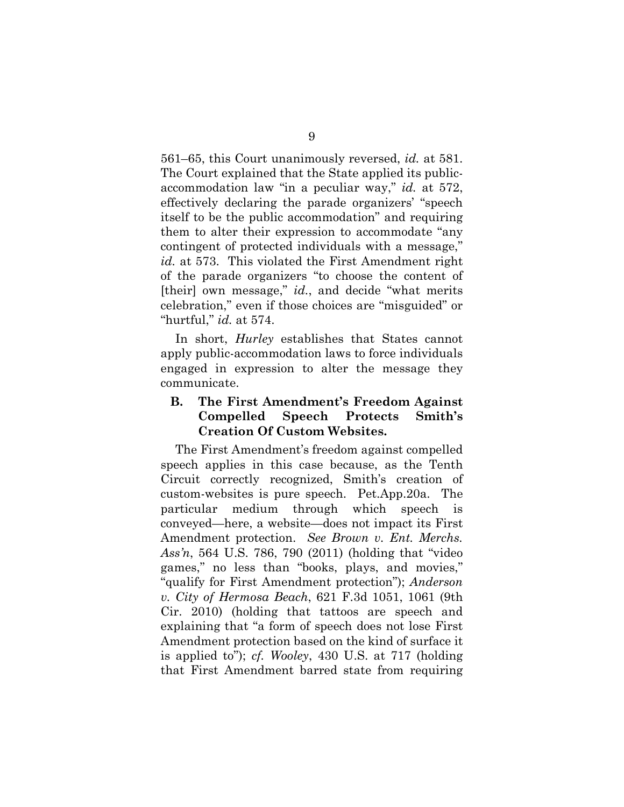561–65, this Court unanimously reversed, *id.* at 581. The Court explained that the State applied its publicaccommodation law "in a peculiar way," *id.* at 572, effectively declaring the parade organizers' "speech itself to be the public accommodation" and requiring them to alter their expression to accommodate "any contingent of protected individuals with a message," *id.* at 573. This violated the First Amendment right of the parade organizers "to choose the content of [their] own message," *id.*, and decide "what merits celebration," even if those choices are "misguided" or "hurtful," *id.* at 574.

In short, *Hurley* establishes that States cannot apply public-accommodation laws to force individuals engaged in expression to alter the message they communicate.

## **B. The First Amendment's Freedom Against Compelled Speech Protects Smith's Creation Of Custom Websites.**

The First Amendment's freedom against compelled speech applies in this case because, as the Tenth Circuit correctly recognized, Smith's creation of custom-websites is pure speech. Pet.App.20a. The particular medium through which speech is conveyed—here, a website—does not impact its First Amendment protection. *See Brown v. Ent. Merchs. Ass'n*, 564 U.S. 786, 790 (2011) (holding that "video games," no less than "books, plays, and movies," "qualify for First Amendment protection"); *Anderson v. City of Hermosa Beach*, 621 F.3d 1051, 1061 (9th Cir. 2010) (holding that tattoos are speech and explaining that "a form of speech does not lose First Amendment protection based on the kind of surface it is applied to"); *cf. Wooley*, 430 U.S. at 717 (holding that First Amendment barred state from requiring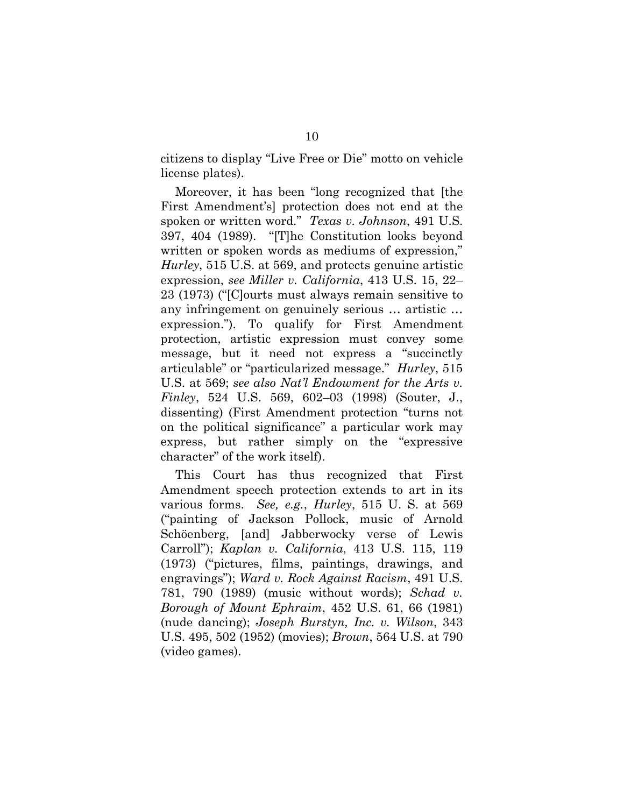citizens to display "Live Free or Die" motto on vehicle license plates).

Moreover, it has been "long recognized that [the First Amendment's] protection does not end at the spoken or written word." *Texas v. Johnson*, 491 U.S. 397, 404 (1989). "[T]he Constitution looks beyond written or spoken words as mediums of expression," *Hurley*, 515 U.S. at 569, and protects genuine artistic expression, *see Miller v. California*, 413 U.S. 15, 22– 23 (1973) ("[C]ourts must always remain sensitive to any infringement on genuinely serious … artistic … expression."). To qualify for First Amendment protection, artistic expression must convey some message, but it need not express a "succinctly articulable" or "particularized message." *Hurley*, 515 U.S. at 569; *see also Nat'l Endowment for the Arts v. Finley*, 524 U.S. 569, 602–03 (1998) (Souter, J., dissenting) (First Amendment protection "turns not on the political significance" a particular work may express, but rather simply on the "expressive character" of the work itself).

This Court has thus recognized that First Amendment speech protection extends to art in its various forms. *See, e.g.*, *Hurley*, 515 U. S. at 569 ("painting of Jackson Pollock, music of Arnold Schöenberg, [and] Jabberwocky verse of Lewis Carroll"); *Kaplan v. California*, 413 U.S. 115, 119 (1973) ("pictures, films, paintings, drawings, and engravings"); *Ward v. Rock Against Racism*, 491 U.S. 781, 790 (1989) (music without words); *Schad v. Borough of Mount Ephraim*, 452 U.S. 61, 66 (1981) (nude dancing); *Joseph Burstyn, Inc. v. Wilson*, 343 U.S. 495, 502 (1952) (movies); *Brown*, 564 U.S. at 790 (video games).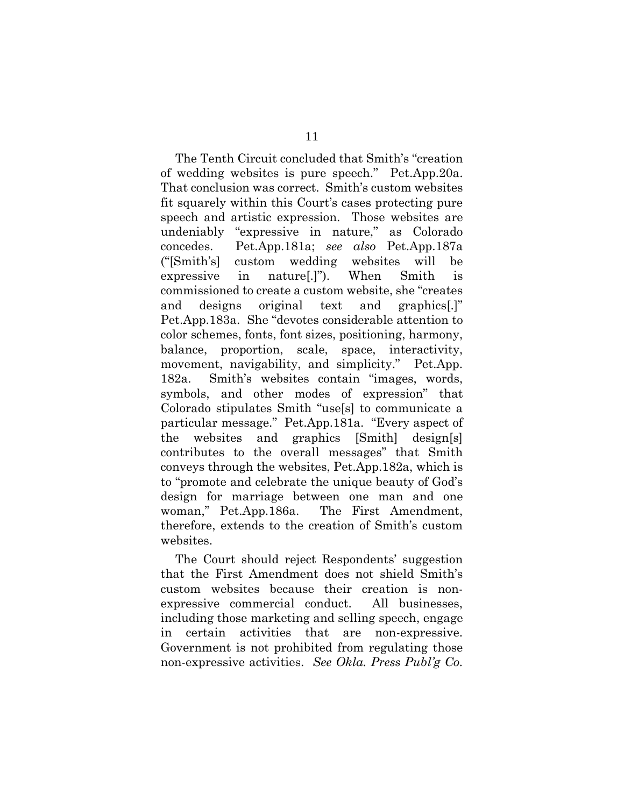The Tenth Circuit concluded that Smith's "creation of wedding websites is pure speech." Pet.App.20a. That conclusion was correct. Smith's custom websites fit squarely within this Court's cases protecting pure speech and artistic expression. Those websites are undeniably "expressive in nature," as Colorado concedes. Pet.App.181a; *see also* Pet.App.187a ("[Smith's] custom wedding websites will be expressive in nature[.]"). When Smith is commissioned to create a custom website, she "creates and designs original text and graphics[.]" Pet.App.183a. She "devotes considerable attention to color schemes, fonts, font sizes, positioning, harmony, balance, proportion, scale, space, interactivity, movement, navigability, and simplicity." Pet.App. 182a. Smith's websites contain "images, words, symbols, and other modes of expression" that Colorado stipulates Smith "use[s] to communicate a particular message." Pet.App.181a. "Every aspect of the websites and graphics [Smith] design[s] contributes to the overall messages" that Smith conveys through the websites, Pet.App.182a, which is to "promote and celebrate the unique beauty of God's design for marriage between one man and one woman," Pet.App.186a. The First Amendment, therefore, extends to the creation of Smith's custom websites.

The Court should reject Respondents' suggestion that the First Amendment does not shield Smith's custom websites because their creation is nonexpressive commercial conduct. All businesses, including those marketing and selling speech, engage in certain activities that are non-expressive. Government is not prohibited from regulating those non-expressive activities. *See Okla. Press Publ'g Co.*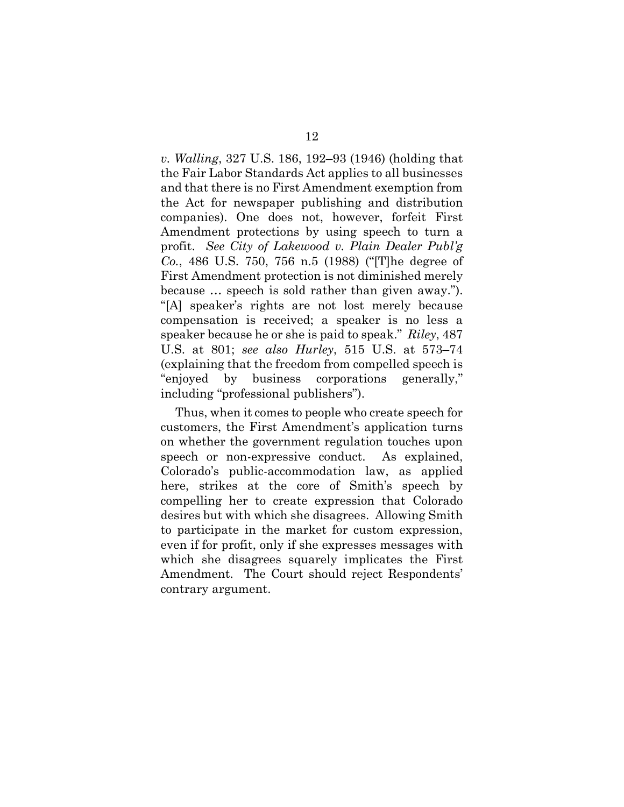*v. Walling*, 327 U.S. 186, 192–93 (1946) (holding that the Fair Labor Standards Act applies to all businesses and that there is no First Amendment exemption from the Act for newspaper publishing and distribution companies). One does not, however, forfeit First Amendment protections by using speech to turn a profit. *See City of Lakewood v. Plain Dealer Publ'g Co.*, 486 U.S. 750, 756 n.5 (1988) ("[T]he degree of First Amendment protection is not diminished merely because … speech is sold rather than given away."). "[A] speaker's rights are not lost merely because compensation is received; a speaker is no less a speaker because he or she is paid to speak." *Riley*, 487 U.S. at 801; *see also Hurley*, 515 U.S. at 573–74 (explaining that the freedom from compelled speech is "enjoyed by business corporations generally," including "professional publishers").

Thus, when it comes to people who create speech for customers, the First Amendment's application turns on whether the government regulation touches upon speech or non-expressive conduct. As explained, Colorado's public-accommodation law, as applied here, strikes at the core of Smith's speech by compelling her to create expression that Colorado desires but with which she disagrees. Allowing Smith to participate in the market for custom expression, even if for profit, only if she expresses messages with which she disagrees squarely implicates the First Amendment. The Court should reject Respondents' contrary argument.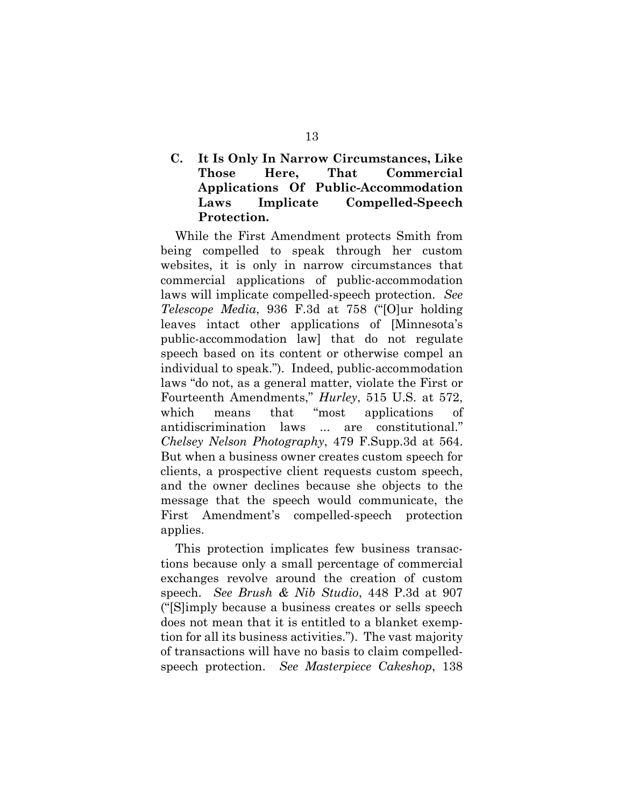## **C. It Is Only In Narrow Circumstances, Like Those Here, That Commercial Applications Of Public-Accommodation Laws Implicate Compelled-Speech Protection.**

While the First Amendment protects Smith from being compelled to speak through her custom websites, it is only in narrow circumstances that commercial applications of public-accommodation laws will implicate compelled-speech protection. *See Telescope Media*, 936 F.3d at 758 ("[O]ur holding leaves intact other applications of [Minnesota's public-accommodation law] that do not regulate speech based on its content or otherwise compel an individual to speak."). Indeed, public-accommodation laws "do not, as a general matter, violate the First or Fourteenth Amendments," *Hurley*, 515 U.S. at 572, which means that "most applications of antidiscrimination laws ... are constitutional." *Chelsey Nelson Photography*, 479 F.Supp.3d at 564. But when a business owner creates custom speech for clients, a prospective client requests custom speech, and the owner declines because she objects to the message that the speech would communicate, the First Amendment's compelled-speech protection applies.

This protection implicates few business transactions because only a small percentage of commercial exchanges revolve around the creation of custom speech. *See Brush & Nib Studio*, 448 P.3d at 907 ("[S]imply because a business creates or sells speech does not mean that it is entitled to a blanket exemption for all its business activities."). The vast majority of transactions will have no basis to claim compelledspeech protection. *See Masterpiece Cakeshop*, 138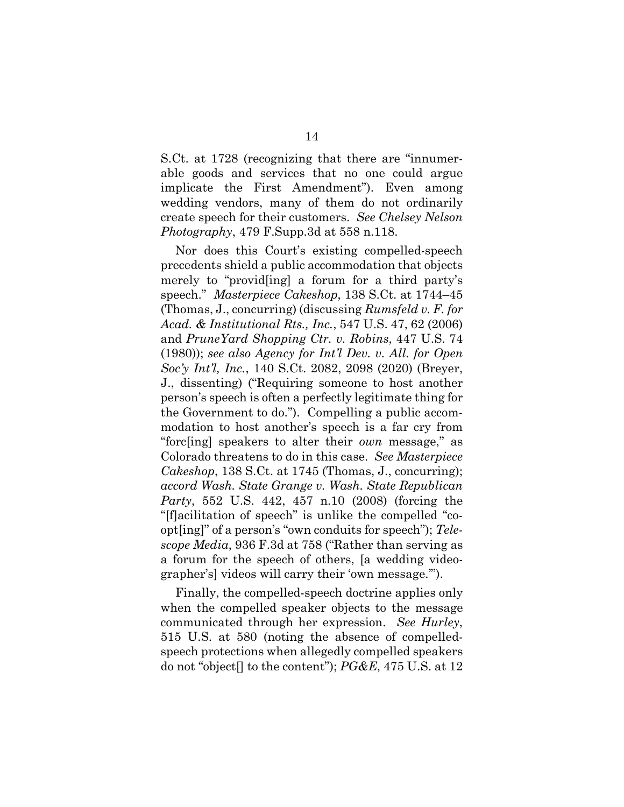S.Ct. at 1728 (recognizing that there are "innumerable goods and services that no one could argue implicate the First Amendment"). Even among wedding vendors, many of them do not ordinarily create speech for their customers. *See Chelsey Nelson Photography*, 479 F.Supp.3d at 558 n.118.

Nor does this Court's existing compelled-speech precedents shield a public accommodation that objects merely to "provid[ing] a forum for a third party's speech." *Masterpiece Cakeshop*, 138 S.Ct. at 1744–45 (Thomas, J., concurring) (discussing *Rumsfeld v. F. for Acad. & Institutional Rts., Inc.*, 547 U.S. 47, 62 (2006) and *PruneYard Shopping Ctr. v. Robins*, 447 U.S. 74 (1980)); *see also Agency for Int'l Dev. v. All. for Open Soc'y Int'l, Inc.*, 140 S.Ct. 2082, 2098 (2020) (Breyer, J., dissenting) ("Requiring someone to host another person's speech is often a perfectly legitimate thing for the Government to do."). Compelling a public accommodation to host another's speech is a far cry from "forc[ing] speakers to alter their *own* message," as Colorado threatens to do in this case. *See Masterpiece Cakeshop*, 138 S.Ct. at 1745 (Thomas, J., concurring); *accord Wash. State Grange v. Wash. State Republican Party*, 552 U.S. 442, 457 n.10 (2008) (forcing the "[f]acilitation of speech" is unlike the compelled "coopt[ing]" of a person's "own conduits for speech"); *Telescope Media*, 936 F.3d at 758 ("Rather than serving as a forum for the speech of others, [a wedding videographer's] videos will carry their 'own message.'").

Finally, the compelled-speech doctrine applies only when the compelled speaker objects to the message communicated through her expression. *See Hurley*, 515 U.S. at 580 (noting the absence of compelledspeech protections when allegedly compelled speakers do not "object[] to the content"); *PG&E*, 475 U.S. at 12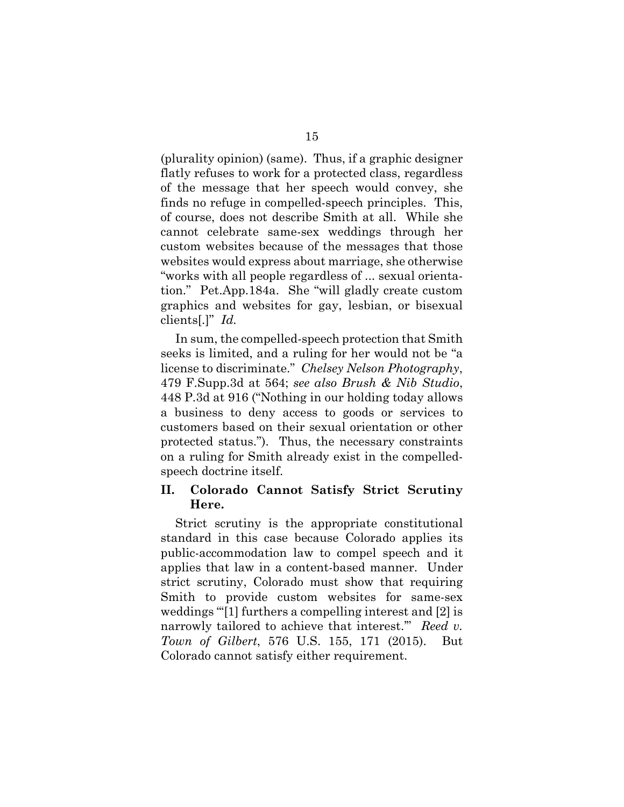(plurality opinion) (same). Thus, if a graphic designer flatly refuses to work for a protected class, regardless of the message that her speech would convey, she finds no refuge in compelled-speech principles. This, of course, does not describe Smith at all. While she cannot celebrate same-sex weddings through her custom websites because of the messages that those websites would express about marriage, she otherwise "works with all people regardless of ... sexual orientation." Pet.App.184a. She "will gladly create custom graphics and websites for gay, lesbian, or bisexual clients[.]" *Id.*

In sum, the compelled-speech protection that Smith seeks is limited, and a ruling for her would not be "a license to discriminate." *Chelsey Nelson Photography*, 479 F.Supp.3d at 564; *see also Brush & Nib Studio*, 448 P.3d at 916 ("Nothing in our holding today allows a business to deny access to goods or services to customers based on their sexual orientation or other protected status."). Thus, the necessary constraints on a ruling for Smith already exist in the compelledspeech doctrine itself.

### **II. Colorado Cannot Satisfy Strict Scrutiny Here.**

Strict scrutiny is the appropriate constitutional standard in this case because Colorado applies its public-accommodation law to compel speech and it applies that law in a content-based manner. Under strict scrutiny, Colorado must show that requiring Smith to provide custom websites for same-sex weddings "[1] furthers a compelling interest and [2] is narrowly tailored to achieve that interest.'" *Reed v. Town of Gilbert*, 576 U.S. 155, 171 (2015). But Colorado cannot satisfy either requirement.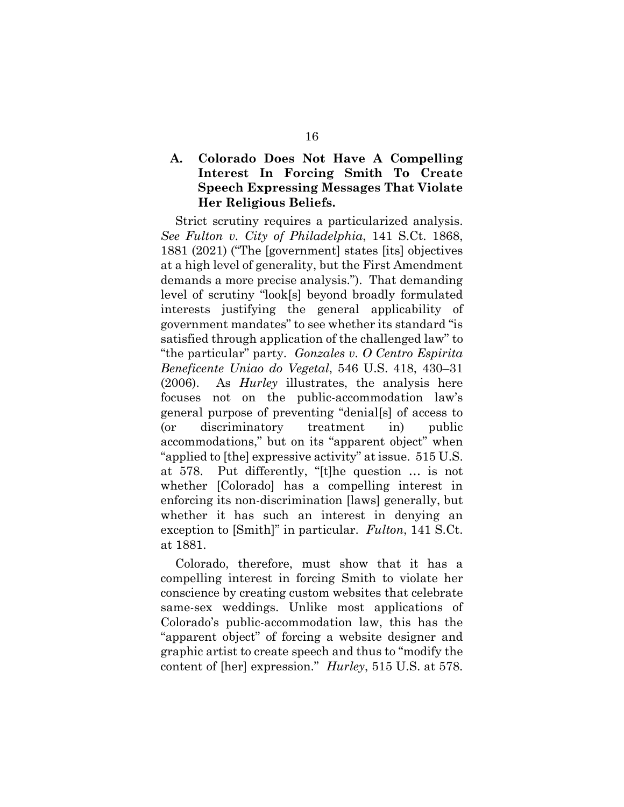## **A. Colorado Does Not Have A Compelling Interest In Forcing Smith To Create Speech Expressing Messages That Violate Her Religious Beliefs.**

Strict scrutiny requires a particularized analysis. *See Fulton v. City of Philadelphia*, 141 S.Ct. 1868, 1881 (2021) ("The [government] states [its] objectives at a high level of generality, but the First Amendment demands a more precise analysis."). That demanding level of scrutiny "look[s] beyond broadly formulated interests justifying the general applicability of government mandates" to see whether its standard "is satisfied through application of the challenged law" to "the particular" party. *Gonzales v. O Centro Espirita Beneficente Uniao do Vegetal*, 546 U.S. 418, 430–31 (2006). As *Hurley* illustrates, the analysis here focuses not on the public-accommodation law's general purpose of preventing "denial[s] of access to (or discriminatory treatment in) public accommodations," but on its "apparent object" when "applied to [the] expressive activity" at issue. 515 U.S. at 578. Put differently, "[t]he question … is not whether [Colorado] has a compelling interest in enforcing its non-discrimination [laws] generally, but whether it has such an interest in denying an exception to [Smith]" in particular. *Fulton*, 141 S.Ct. at 1881.

Colorado, therefore, must show that it has a compelling interest in forcing Smith to violate her conscience by creating custom websites that celebrate same-sex weddings. Unlike most applications of Colorado's public-accommodation law, this has the "apparent object" of forcing a website designer and graphic artist to create speech and thus to "modify the content of [her] expression." *Hurley*, 515 U.S. at 578.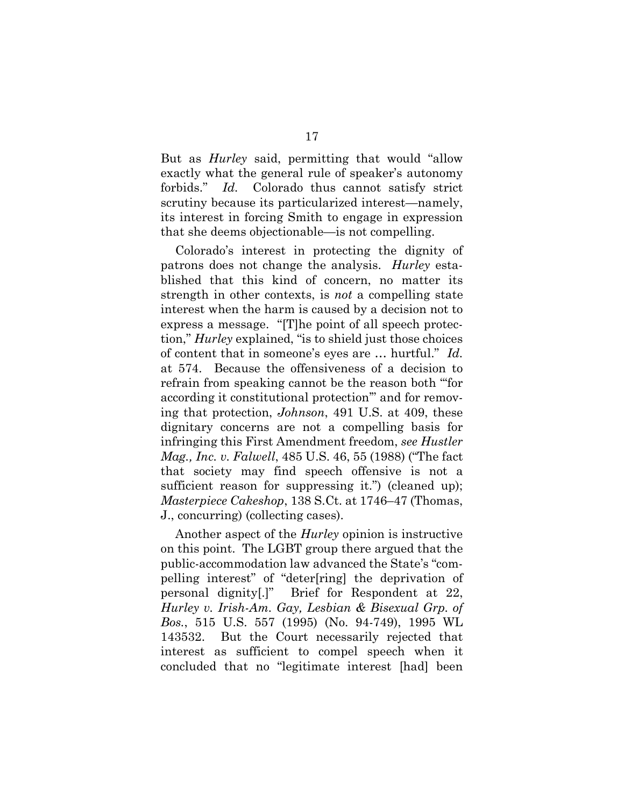But as *Hurley* said, permitting that would "allow exactly what the general rule of speaker's autonomy forbids." *Id.* Colorado thus cannot satisfy strict scrutiny because its particularized interest—namely, its interest in forcing Smith to engage in expression that she deems objectionable—is not compelling.

Colorado's interest in protecting the dignity of patrons does not change the analysis. *Hurley* established that this kind of concern, no matter its strength in other contexts, is *not* a compelling state interest when the harm is caused by a decision not to express a message. "[T]he point of all speech protection," *Hurley* explained, "is to shield just those choices of content that in someone's eyes are … hurtful." *Id.* at 574. Because the offensiveness of a decision to refrain from speaking cannot be the reason both "'for according it constitutional protection'" and for removing that protection, *Johnson*, 491 U.S. at 409, these dignitary concerns are not a compelling basis for infringing this First Amendment freedom, *see Hustler Mag., Inc. v. Falwell*, 485 U.S. 46, 55 (1988) ("The fact that society may find speech offensive is not a sufficient reason for suppressing it.") (cleaned up); *Masterpiece Cakeshop*, 138 S.Ct. at 1746–47 (Thomas, J., concurring) (collecting cases).

Another aspect of the *Hurley* opinion is instructive on this point. The LGBT group there argued that the public-accommodation law advanced the State's "compelling interest" of "deter[ring] the deprivation of personal dignity[.]" Brief for Respondent at 22, *Hurley v. Irish-Am. Gay, Lesbian & Bisexual Grp. of Bos.*, 515 U.S. 557 (1995) (No. 94-749), 1995 WL 143532. But the Court necessarily rejected that interest as sufficient to compel speech when it concluded that no "legitimate interest [had] been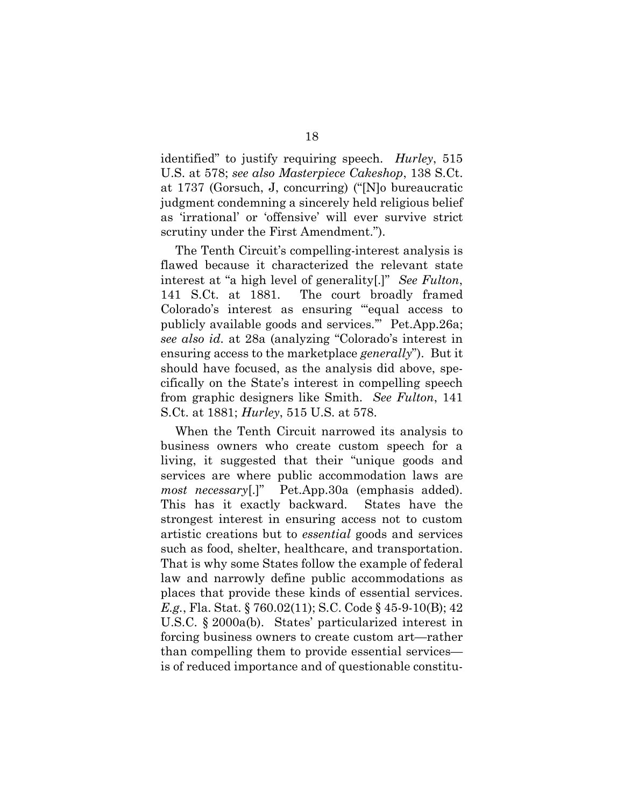identified" to justify requiring speech. *Hurley*, 515 U.S. at 578; *see also Masterpiece Cakeshop*, 138 S.Ct. at 1737 (Gorsuch, J, concurring) ("[N]o bureaucratic judgment condemning a sincerely held religious belief as 'irrational' or 'offensive' will ever survive strict scrutiny under the First Amendment.").

The Tenth Circuit's compelling-interest analysis is flawed because it characterized the relevant state interest at "a high level of generality[.]" *See Fulton*, 141 S.Ct. at 1881. The court broadly framed Colorado's interest as ensuring "'equal access to publicly available goods and services.'" Pet.App.26a; *see also id.* at 28a (analyzing "Colorado's interest in ensuring access to the marketplace *generally*"). But it should have focused, as the analysis did above, specifically on the State's interest in compelling speech from graphic designers like Smith. *See Fulton*, 141 S.Ct. at 1881; *Hurley*, 515 U.S. at 578.

When the Tenth Circuit narrowed its analysis to business owners who create custom speech for a living, it suggested that their "unique goods and services are where public accommodation laws are *most necessary*[.]" Pet.App.30a (emphasis added). This has it exactly backward. States have the strongest interest in ensuring access not to custom artistic creations but to *essential* goods and services such as food, shelter, healthcare, and transportation. That is why some States follow the example of federal law and narrowly define public accommodations as places that provide these kinds of essential services. *E.g.*, Fla. Stat. § 760.02(11); S.C. Code § 45-9-10(B); 42 U.S.C. § 2000a(b). States' particularized interest in forcing business owners to create custom art—rather than compelling them to provide essential services is of reduced importance and of questionable constitu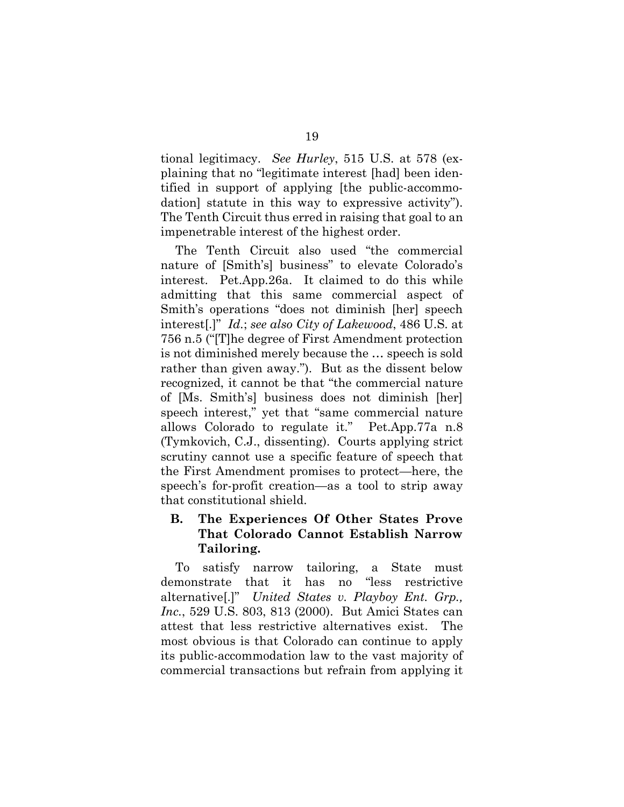tional legitimacy. *See Hurley*, 515 U.S. at 578 (explaining that no "legitimate interest [had] been identified in support of applying [the public-accommodation] statute in this way to expressive activity"). The Tenth Circuit thus erred in raising that goal to an impenetrable interest of the highest order.

The Tenth Circuit also used "the commercial nature of [Smith's] business" to elevate Colorado's interest. Pet.App.26a. It claimed to do this while admitting that this same commercial aspect of Smith's operations "does not diminish [her] speech interest[.]" *Id.*; *see also City of Lakewood*, 486 U.S. at 756 n.5 ("[T]he degree of First Amendment protection is not diminished merely because the … speech is sold rather than given away."). But as the dissent below recognized, it cannot be that "the commercial nature of [Ms. Smith's] business does not diminish [her] speech interest," yet that "same commercial nature allows Colorado to regulate it." Pet.App.77a n.8 (Tymkovich, C.J., dissenting). Courts applying strict scrutiny cannot use a specific feature of speech that the First Amendment promises to protect—here, the speech's for-profit creation—as a tool to strip away that constitutional shield.

## **B. The Experiences Of Other States Prove That Colorado Cannot Establish Narrow Tailoring.**

To satisfy narrow tailoring, a State must demonstrate that it has no "less restrictive alternative[.]" *United States v. Playboy Ent. Grp., Inc.*, 529 U.S. 803, 813 (2000). But Amici States can attest that less restrictive alternatives exist. The most obvious is that Colorado can continue to apply its public-accommodation law to the vast majority of commercial transactions but refrain from applying it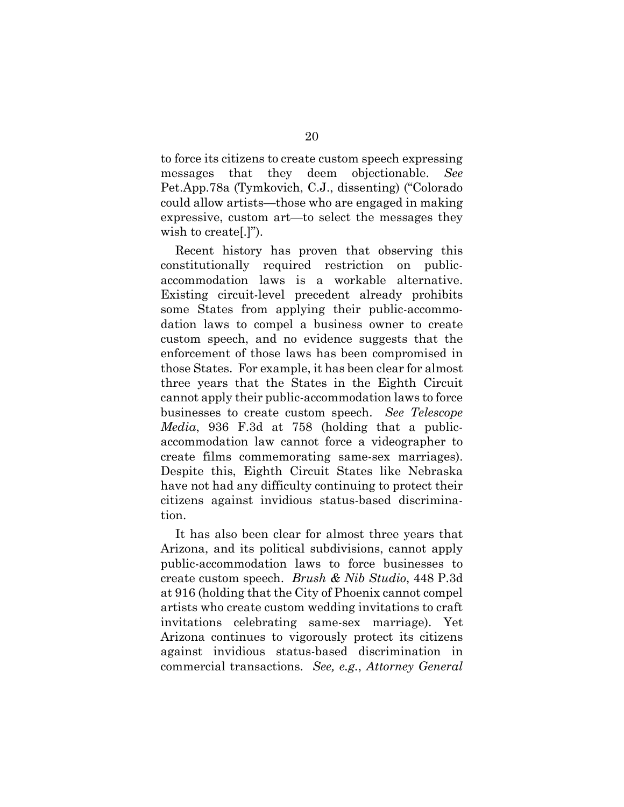to force its citizens to create custom speech expressing messages that they deem objectionable. *See* Pet.App.78a (Tymkovich, C.J., dissenting) ("Colorado could allow artists—those who are engaged in making expressive, custom art—to select the messages they wish to create[.]").

Recent history has proven that observing this constitutionally required restriction on publicaccommodation laws is a workable alternative. Existing circuit-level precedent already prohibits some States from applying their public-accommodation laws to compel a business owner to create custom speech, and no evidence suggests that the enforcement of those laws has been compromised in those States. For example, it has been clear for almost three years that the States in the Eighth Circuit cannot apply their public-accommodation laws to force businesses to create custom speech. *See Telescope Media*, 936 F.3d at 758 (holding that a publicaccommodation law cannot force a videographer to create films commemorating same-sex marriages). Despite this, Eighth Circuit States like Nebraska have not had any difficulty continuing to protect their citizens against invidious status-based discrimination.

It has also been clear for almost three years that Arizona, and its political subdivisions, cannot apply public-accommodation laws to force businesses to create custom speech. *Brush & Nib Studio*, 448 P.3d at 916 (holding that the City of Phoenix cannot compel artists who create custom wedding invitations to craft invitations celebrating same-sex marriage). Yet Arizona continues to vigorously protect its citizens against invidious status-based discrimination in commercial transactions. *See, e.g.*, *Attorney General*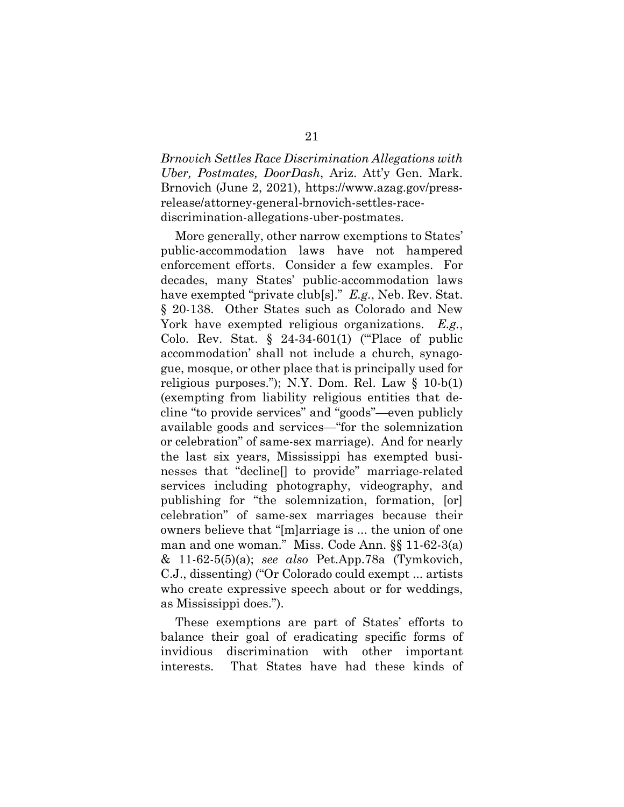*Brnovich Settles Race Discrimination Allegations with Uber, Postmates, DoorDash*, Ariz. Att'y Gen. Mark. Brnovich (June 2, 2021), https://www.azag.gov/pressrelease/attorney-general-brnovich-settles-racediscrimination-allegations-uber-postmates.

More generally, other narrow exemptions to States' public-accommodation laws have not hampered enforcement efforts. Consider a few examples. For decades, many States' public-accommodation laws have exempted "private club[s]." *E.g.*, Neb. Rev. Stat. § 20-138. Other States such as Colorado and New York have exempted religious organizations. *E.g.*, Colo. Rev. Stat.  $\S$  24-34-601(1) ("Place of public accommodation' shall not include a church, synagogue, mosque, or other place that is principally used for religious purposes."); N.Y. Dom. Rel. Law  $\S$  10-b(1) (exempting from liability religious entities that decline "to provide services" and "goods"—even publicly available goods and services—"for the solemnization or celebration" of same-sex marriage). And for nearly the last six years, Mississippi has exempted businesses that "decline[] to provide" marriage-related services including photography, videography, and publishing for "the solemnization, formation, [or] celebration" of same-sex marriages because their owners believe that "[m]arriage is ... the union of one man and one woman." Miss. Code Ann. §§ 11-62-3(a) & 11-62-5(5)(a); *see also* Pet.App.78a (Tymkovich, C.J., dissenting) ("Or Colorado could exempt ... artists who create expressive speech about or for weddings, as Mississippi does.").

These exemptions are part of States' efforts to balance their goal of eradicating specific forms of invidious discrimination with other important interests. That States have had these kinds of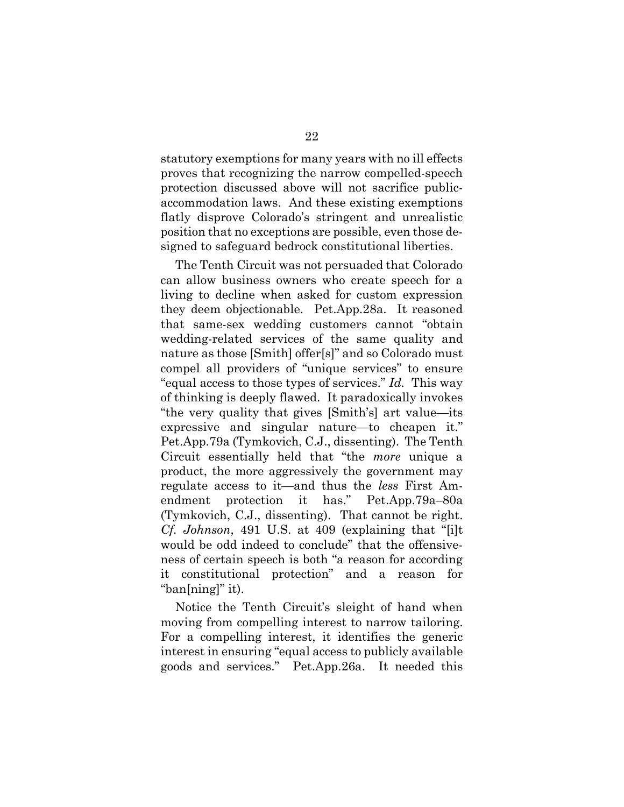statutory exemptions for many years with no ill effects proves that recognizing the narrow compelled-speech protection discussed above will not sacrifice publicaccommodation laws. And these existing exemptions flatly disprove Colorado's stringent and unrealistic position that no exceptions are possible, even those designed to safeguard bedrock constitutional liberties.

The Tenth Circuit was not persuaded that Colorado can allow business owners who create speech for a living to decline when asked for custom expression they deem objectionable. Pet.App.28a. It reasoned that same-sex wedding customers cannot "obtain wedding-related services of the same quality and nature as those [Smith] offer[s]" and so Colorado must compel all providers of "unique services" to ensure "equal access to those types of services." *Id.* This way of thinking is deeply flawed. It paradoxically invokes "the very quality that gives [Smith's] art value—its expressive and singular nature—to cheapen it." Pet.App.79a (Tymkovich, C.J., dissenting). The Tenth Circuit essentially held that "the *more* unique a product, the more aggressively the government may regulate access to it—and thus the *less* First Amendment protection it has." Pet.App.79a–80a (Tymkovich, C.J., dissenting). That cannot be right. *Cf. Johnson*, 491 U.S. at 409 (explaining that "[i]t would be odd indeed to conclude" that the offensiveness of certain speech is both "a reason for according it constitutional protection" and a reason for "ban[ning]" it).

Notice the Tenth Circuit's sleight of hand when moving from compelling interest to narrow tailoring. For a compelling interest, it identifies the generic interest in ensuring "equal access to publicly available goods and services." Pet.App.26a. It needed this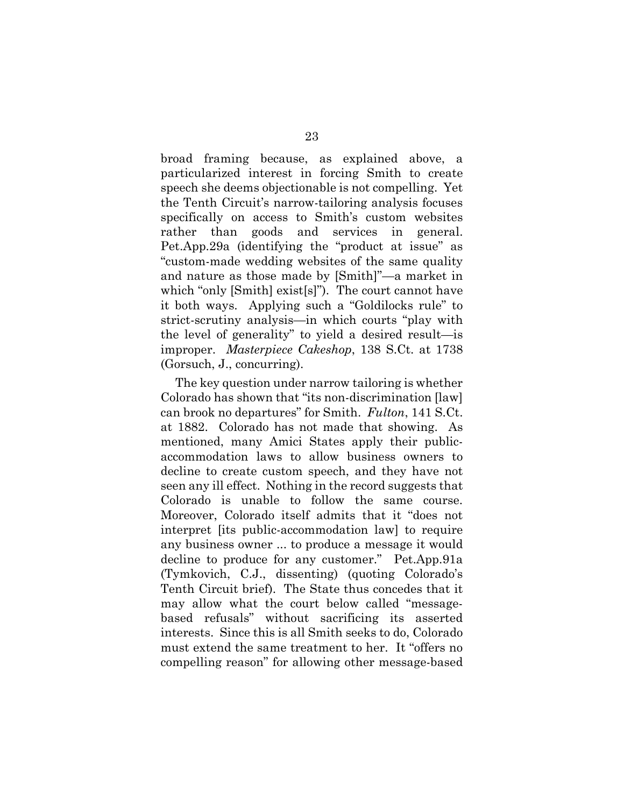broad framing because, as explained above, a particularized interest in forcing Smith to create speech she deems objectionable is not compelling. Yet the Tenth Circuit's narrow-tailoring analysis focuses specifically on access to Smith's custom websites rather than goods and services in general. Pet.App.29a (identifying the "product at issue" as "custom-made wedding websites of the same quality and nature as those made by [Smith]"—a market in which "only [Smith] exist[s]"). The court cannot have it both ways. Applying such a "Goldilocks rule" to strict-scrutiny analysis—in which courts "play with the level of generality" to yield a desired result—is improper. *Masterpiece Cakeshop*, 138 S.Ct. at 1738 (Gorsuch, J., concurring).

The key question under narrow tailoring is whether Colorado has shown that "its non-discrimination [law] can brook no departures" for Smith. *Fulton*, 141 S.Ct. at 1882. Colorado has not made that showing. As mentioned, many Amici States apply their publicaccommodation laws to allow business owners to decline to create custom speech, and they have not seen any ill effect. Nothing in the record suggests that Colorado is unable to follow the same course. Moreover, Colorado itself admits that it "does not interpret [its public-accommodation law] to require any business owner ... to produce a message it would decline to produce for any customer." Pet.App.91a (Tymkovich, C.J., dissenting) (quoting Colorado's Tenth Circuit brief). The State thus concedes that it may allow what the court below called "messagebased refusals" without sacrificing its asserted interests. Since this is all Smith seeks to do, Colorado must extend the same treatment to her. It "offers no compelling reason" for allowing other message-based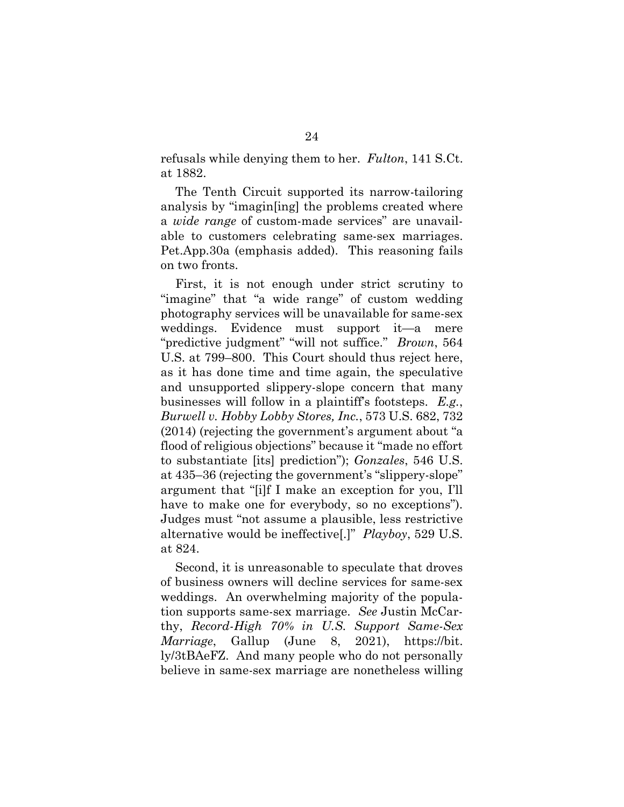refusals while denying them to her. *Fulton*, 141 S.Ct. at 1882.

The Tenth Circuit supported its narrow-tailoring analysis by "imagin[ing] the problems created where a *wide range* of custom-made services" are unavailable to customers celebrating same-sex marriages. Pet.App.30a (emphasis added). This reasoning fails on two fronts.

First, it is not enough under strict scrutiny to "imagine" that "a wide range" of custom wedding photography services will be unavailable for same-sex weddings. Evidence must support it—a mere "predictive judgment" "will not suffice." *Brown*, 564 U.S. at 799–800. This Court should thus reject here, as it has done time and time again, the speculative and unsupported slippery-slope concern that many businesses will follow in a plaintiff's footsteps. *E.g.*, *Burwell v. Hobby Lobby Stores, Inc.*, 573 U.S. 682, 732 (2014) (rejecting the government's argument about "a flood of religious objections" because it "made no effort to substantiate [its] prediction"); *Gonzales*, 546 U.S. at 435–36 (rejecting the government's "slippery-slope" argument that "[i]f I make an exception for you, I'll have to make one for everybody, so no exceptions"). Judges must "not assume a plausible, less restrictive alternative would be ineffective[.]" *Playboy*, 529 U.S. at 824.

Second, it is unreasonable to speculate that droves of business owners will decline services for same-sex weddings. An overwhelming majority of the population supports same-sex marriage. *See* Justin McCarthy, *Record-High 70% in U.S. Support Same-Sex Marriage*, Gallup (June 8, 2021), https://bit. ly/3tBAeFZ. And many people who do not personally believe in same-sex marriage are nonetheless willing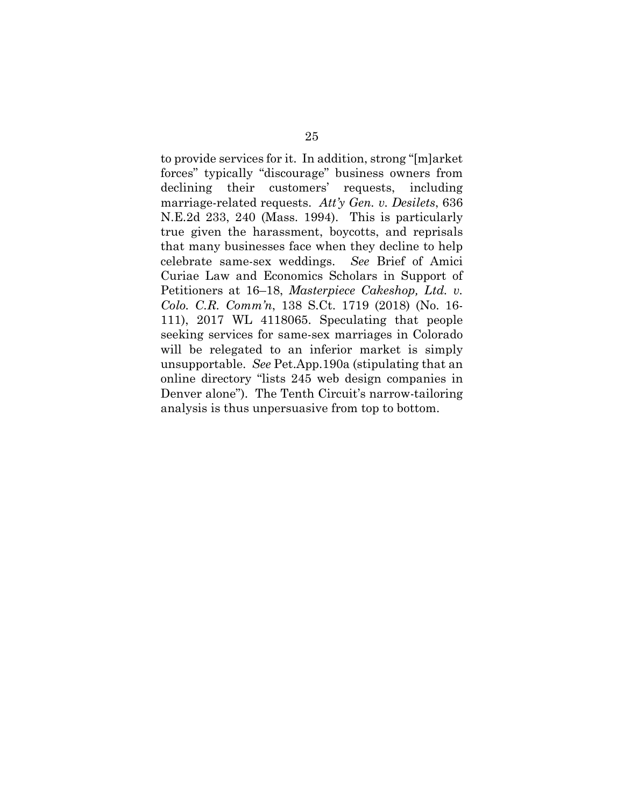to provide services for it. In addition, strong "[m]arket forces" typically "discourage" business owners from declining their customers' requests, including marriage-related requests. *Att'y Gen. v. Desilets*, 636 N.E.2d 233, 240 (Mass. 1994). This is particularly true given the harassment, boycotts, and reprisals that many businesses face when they decline to help celebrate same-sex weddings. *See* Brief of Amici Curiae Law and Economics Scholars in Support of Petitioners at 16–18, *Masterpiece Cakeshop, Ltd. v. Colo. C.R. Comm'n*, 138 S.Ct. 1719 (2018) (No. 16- 111), 2017 WL 4118065. Speculating that people seeking services for same-sex marriages in Colorado will be relegated to an inferior market is simply unsupportable. *See* Pet.App.190a (stipulating that an online directory "lists 245 web design companies in Denver alone"). The Tenth Circuit's narrow-tailoring analysis is thus unpersuasive from top to bottom.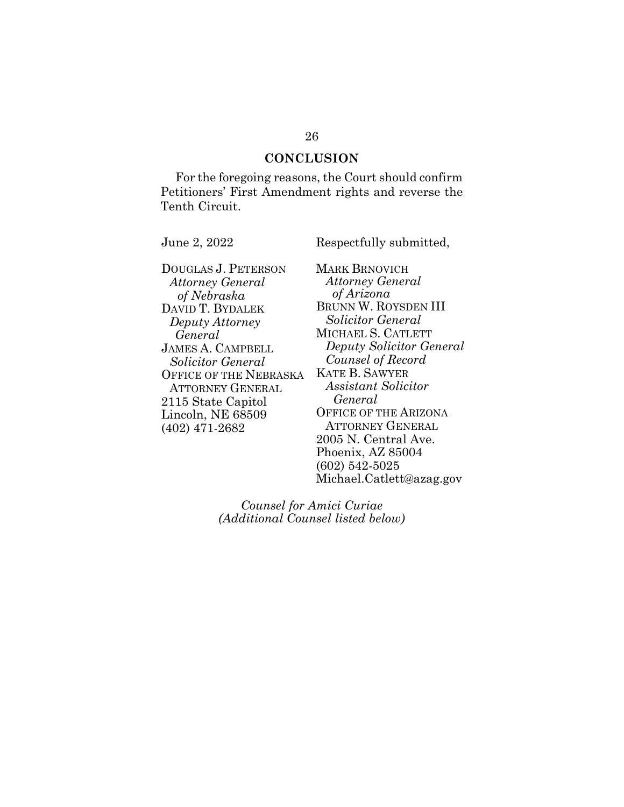### **CONCLUSION**

For the foregoing reasons, the Court should confirm Petitioners' First Amendment rights and reverse the Tenth Circuit.

June 2, 2022 Respectfully submitted,

DOUGLAS J. PETERSON *Attorney General of Nebraska* DAVID T. BYDALEK *Deputy Attorney General* JAMES A. CAMPBELL *Solicitor General*  OFFICE OF THE NEBRASKA ATTORNEY GENERAL 2115 State Capitol Lincoln, NE 68509 (402) 471-2682

MARK BRNOVICH *Attorney General of Arizona* BRUNN W. ROYSDEN III *Solicitor General* MICHAEL S. CATLETT *Deputy Solicitor General Counsel of Record* KATE B. SAWYER *Assistant Solicitor General* OFFICE OF THE ARIZONA ATTORNEY GENERAL 2005 N. Central Ave. Phoenix, AZ 85004 (602) 542-5025 Michael.Catlett@azag.gov

*Counsel for Amici Curiae (Additional Counsel listed below)*

#### 26